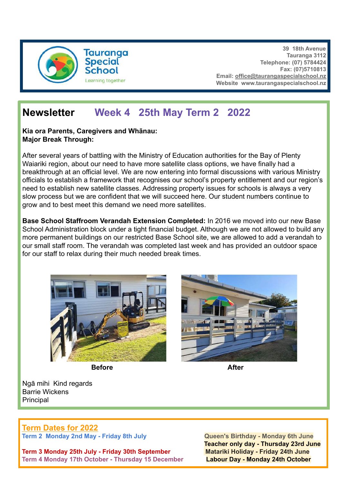

## **Newsletter Week 4 25th May Term 2 2022**

#### **Kia ora Parents, Caregivers and Whānau: Major Break Through:**

After several years of battling with the Ministry of Education authorities for the Bay of Plenty Waiariki region, about our need to have more satellite class options, we have finally had a breakthrough at an official level. We are now entering into formal discussions with various Ministry officials to establish a framework that recognises our school's property entitlement and our region's need to establish new satellite classes. Addressing property issues for schools is always a very slow process but we are confident that we will succeed here. Our student numbers continue to grow and to best meet this demand we need more satellites.

**Base School Staffroom Verandah Extension Completed:** In 2016 we moved into our new Base School Administration block under a tight financial budget. Although we are not allowed to build any more permanent buildings on our restricted Base School site, we are allowed to add a verandah to our small staff room. The verandah was completed last week and has provided an outdoor space for our staff to relax during their much needed break times.



**Before** After



Ngā mihi Kind regards Barrie Wickens **Principal** 

## **Term Dates for 2022**

**Term 3 Monday 25th July - Friday 30th September Matariki Holiday - Friday 24th June Term 4 Monday 17th October - Thursday 15 December Labour Day - Monday 24th October**

**Term 2 Monday 2nd May - Friday 8th July Queen's Birthday - Monday 6th June Teacher only day - Thursday 23rd June**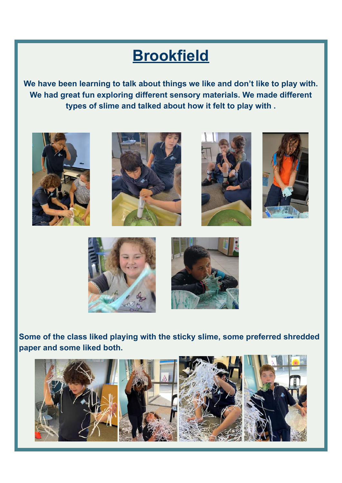# **Brookfield**

**We have been learning to talk about things we like and don't like to play with. We had great fun exploring different sensory materials. We made different types of slime and talked about how it felt to play with .**













**Some of the class liked playing with the sticky slime, some preferred shredded paper and some liked both.**

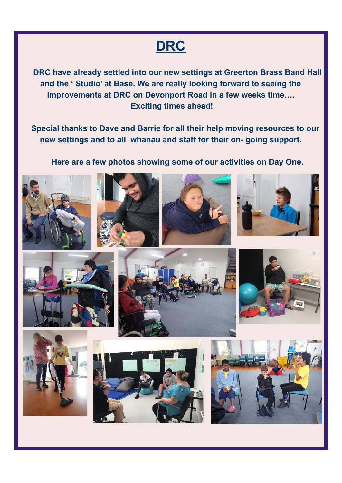# **DRC**

**DRC have already settled into our new settings at Greerton Brass Band Hall and the ' Studio' at Base. We are really looking forward to seeing the improvements at DRC on Devonport Road in a few weeks time…. Exciting times ahead!**

**Special thanks to Dave and Barrie for all their help moving resources to our new settings and to all whānau and staff for their on- going support.**

**Here are a few photos showing some of our activities on Day One.**



















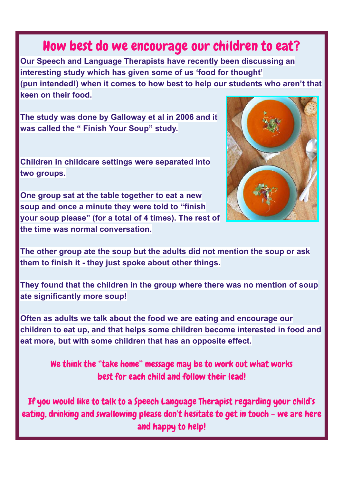## How best do we encourage our children to eat?

**Our Speech and Language Therapists have recently been discussing an interesting study which has given some of us 'food for thought' (pun intended!) when it comes to how best to help our students who aren't that keen on their food.**

**The study was done by Galloway et al in 2006 and it was called the " Finish Your Soup" study.**

**Children in childcare settings were separated into two groups.**

**One group sat at the table together to eat a new soup and once a minute they were told to "finish your soup please" (for a total of 4 times). The rest of the time was normal conversation.**

**The other group ate the soup but the adults did not mention the soup or ask them to finish it - they just spoke about other things.**

**They found that the children in the group where there was no mention of soup ate significantly more soup!**

**Often as adults we talk about the food we are eating and encourage our children to eat up, and that helps some children become interested in food and eat more, but with some children that has an opposite effect.**

We think the "take home" message may be to work out what works best for each child and follow their lead!

If you would like to talk to a Speech Language Therapist regarding your child's eating, drinking and swallowing please don't hesitate to get in touch - we are here and happy to help!